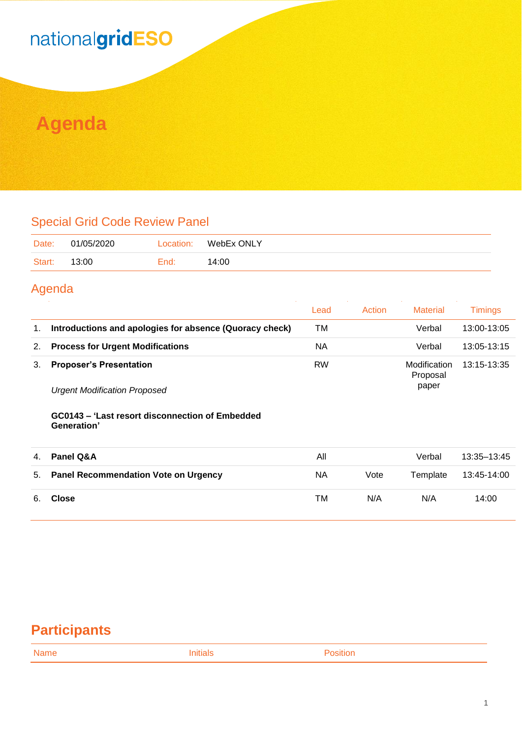## nationalgridESO

## **Agenda**

#### Special Grid Code Review Panel

| Date:  | 01/05/2020 | Location: | WebEx ONLY |
|--------|------------|-----------|------------|
| Start: | 13:00      | End:      | 14:00      |

#### Agenda

|    |                                                                       | Lead      | Action | <b>Material</b>                   | Timings     |
|----|-----------------------------------------------------------------------|-----------|--------|-----------------------------------|-------------|
|    | Introductions and apologies for absence (Quoracy check)               | ТM        |        | Verbal                            | 13:00-13:05 |
| 2. | <b>Process for Urgent Modifications</b>                               | ΝA        |        | Verbal                            | 13:05-13:15 |
|    | <b>Proposer's Presentation</b><br><b>Urgent Modification Proposed</b> | <b>RW</b> |        | Modification<br>Proposal<br>paper | 13:15-13:35 |

#### **GC0143 – 'Last resort disconnection of Embedded Generation'**

| 4. | Panel Q&A                               | All |      | Verbal   | 13:35–13:45 |
|----|-----------------------------------------|-----|------|----------|-------------|
|    | 5. Panel Recommendation Vote on Urgency | ΝA  | Vote | Template | 13:45-14:00 |
|    | Close                                   | ТM  | N/A  | N/A      | 14:00       |

### **Participants**